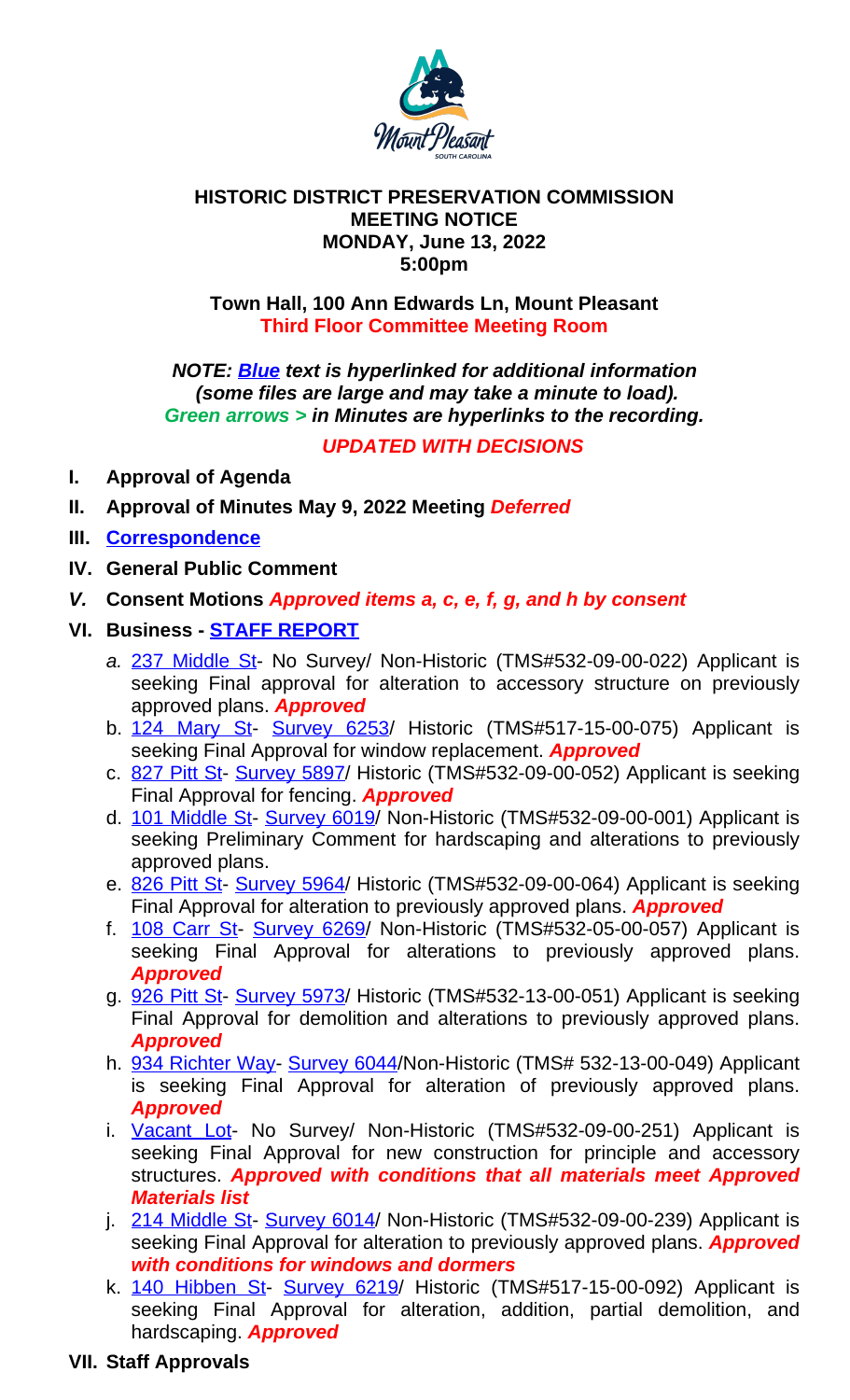## **Town Hall, 100 Ann Edwards Ln, Mount Pleasant Third Floor Committee Meeting Room**

*NOTE: Blue text is hyperlinked for additional information (some files are large and may take a minute to load). Green arrows > in Minutes are hyperlinks to the recording.*

*UPDATED WITH DECISIONS*

- **I. Approval of Agenda**
- **II. Approval of Minutes May 9, 2022 Meeting** *Deferred*
- **III. Correspondence**
- **IV. General Public Comment**
- *V.* **Consent Motions** *Approved items a, c, e, f, g, and h by consent*
- **VI. Business STAFF REPORT**
	- *a.* 237 Middle St- No Survey/ Non-Historic (TMS#532-09-00-022) Applicant is seeking Final approval for alteration to accessory structure on previously approved plans. *Approved*
	- b. 124 Mary St- Survey 6253/ Historic (TMS#517-15-00-075) Applicant is seeking Final Approval for window replacement. *Approved*
	- c. 827 Pitt St- Survey 5897/ Historic (TMS#532-09-00-052) Applicant is seeking Final Approval for fencing. *Approved*
	- d. 101 Middle St- Survey 6019/ Non-Historic (TMS#532-09-00-001) Applicant is [seeking](https://www.tompsc.com/DocumentCenter/View/41945/Correspondence-for-HDPC-June-Meeting) Preliminary Comment for hardscaping and alterations to previously approved plans.
	- e. 826 Pitt St- Survey 5964/ Historic (TMS#532-09-00-064) Applicant is seeking Final Approval for alteration to previously approved plans. *Approved*
	- f. 108 Carr St- [Survey 6269](https://www.tompsc.com/DocumentCenter/View/41926/HDPC-June-6622)/ Non-Historic (TMS#532-05-00-057) Applicant is [seek](https://www.tompsc.com/DocumentCenter/View/41812/237-Middle-Street-Minor-Work)ing [Final](https://www.tompsc.com/DocumentCenter/View/41812/237-Middle-Street-Minor-Work) Approval for alterations to previously approved plans. *Approved*
	- g. 926 Pitt St- Survey 5973/ Historic (TMS#532-13-00-051) Applicant is seeking Final [Approva](https://www.tompsc.com/DocumentCenter/View/41809/124-Mary-St)l for [demolition](chrome-extension://efaidnbmnnnibpcajpcglclefindmkaj/https:/www.tompsc.com/DocumentCenter/View/28992/124-Mary-Street---6253) and alterations to previously approved plans. *Approved*
	- h. [934 Richte](https://www.tompsc.com/DocumentCenter/View/41815/827-Pitt-St-Fence)r Way- [Survey](chrome-extension://efaidnbmnnnibpcajpcglclefindmkaj/https:/www.tompsc.com/DocumentCenter/View/29399/827-Pitt-Street---5897) 6044/Non-Historic (TMS# 532-13-00-049) Applicant is seeking Final Approval for alteration of previously approved plans. *[Approved](https://www.tompsc.com/DocumentCenter/View/41806/101-Middle-Street-Submittal)*
	- i. Vacant Lot- No [Survey/](chrome-extension://efaidnbmnnnibpcajpcglclefindmkaj/https:/www.tompsc.com/DocumentCenter/View/28895/101-Middle-Street---6019) Non-Historic (TMS#532-09-00-251) Applicant is seeking Final Approval for new construction for principle and accessory [structures.](https://www.tompsc.com/DocumentCenter/View/41814/826-Pitt-St) *[Approved](chrome-extension://efaidnbmnnnibpcajpcglclefindmkaj/https:/www.tompsc.com/DocumentCenter/View/29397/826-Pitt-Street---5964) with conditions that all materials meet Approved Materials list*
	- j. [214 Middle S](https://www.tompsc.com/DocumentCenter/View/41808/108-Carr-St)t- [Survey 6014](chrome-extension://efaidnbmnnnibpcajpcglclefindmkaj/https:/www.tompsc.com/DocumentCenter/View/28930/108-Carr-Street---6269)/ Non-Historic (TMS#532-09-00-239) Applicant is seeking Final Approval for alteration to previously approved plans. *Approved with conditions for windows and dormers*
	- k. [140 Hibbe](https://www.tompsc.com/DocumentCenter/View/41816/926-Pitt-St)n St- [Survey](chrome-extension://efaidnbmnnnibpcajpcglclefindmkaj/https:/www.tompsc.com/DocumentCenter/View/29424/926-Pitt-Street---5973) 6219/ Historic (TMS#517-15-00-092) Applicant is seeking Final Approval for alteration, addition, partial demolition, and hardscaping. *Approved*
- **VII. St[aff Approvals](https://www.tompsc.com/DocumentCenter/View/41817/934-Richter-Way)**